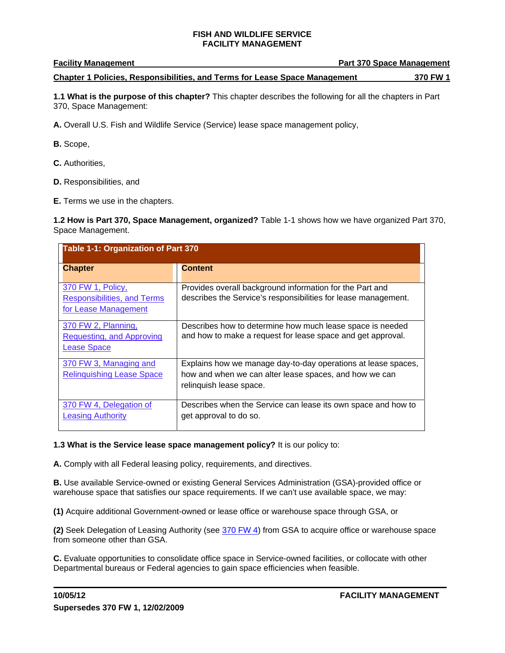### **Facility Management**

#### **Chapter 1 Policies, Responsibilities, and Terms for Lease Space Management 370 FW 1**

**1.1 What is the purpose of this chapter?** This chapter describes the following for all the chapters in Part 370, Space Management:

**A.** Overall U.S. Fish and Wildlife Service (Service) lease space management policy,

- **B.** Scope,
- **C.** Authorities,
- **D.** Responsibilities, and
- **E.** Terms we use in the chapters.

**1.2 How is Part 370, Space Management, organized?** Table 1-1 shows how we have organized Part 370, Space Management.

| Table 1-1: Organization of Part 370                                             |                                                                                                                                                    |  |
|---------------------------------------------------------------------------------|----------------------------------------------------------------------------------------------------------------------------------------------------|--|
| <b>Chapter</b>                                                                  | <b>Content</b>                                                                                                                                     |  |
| 370 FW 1, Policy,<br><b>Responsibilities, and Terms</b><br>for Lease Management | Provides overall background information for the Part and<br>describes the Service's responsibilities for lease management.                         |  |
| 370 FW 2, Planning,<br><b>Requesting, and Approving</b><br><b>Lease Space</b>   | Describes how to determine how much lease space is needed<br>and how to make a request for lease space and get approval.                           |  |
| 370 FW 3, Managing and<br><b>Relinquishing Lease Space</b>                      | Explains how we manage day-to-day operations at lease spaces,<br>how and when we can alter lease spaces, and how we can<br>relinquish lease space. |  |
| 370 FW 4, Delegation of<br><b>Leasing Authority</b>                             | Describes when the Service can lease its own space and how to<br>get approval to do so.                                                            |  |

### **1.3 What is the Service lease space management policy?** It is our policy to:

**A.** Comply with all Federal leasing policy, requirements, and directives.

**B.** Use available Service-owned or existing General Services Administration (GSA)-provided office or warehouse space that satisfies our space requirements. If we can't use available space, we may:

**(1)** Acquire additional Government-owned or lease office or warehouse space through GSA, or

**(2)** Seek Delegation of Leasing Authority (see 370 FW 4) from GSA to acquire office or warehouse space from someone other than GSA.

**C.** Evaluate opportunities to consolidate office space in Service-owned facilities, or collocate with other Departmental bureaus or Federal agencies to gain space efficiencies when feasible.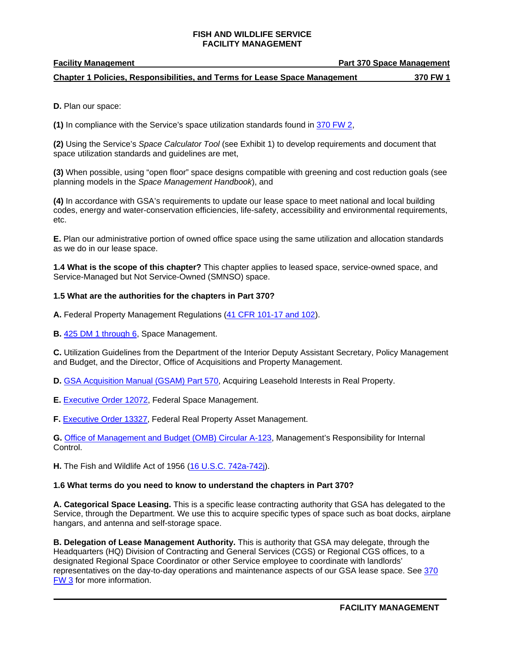#### **Facility Management Community Community Community Part 370 Space Management**

 **Chapter 1 Policies, Responsibilities, and Terms for Lease Space Management 370 FW 1** 

**D.** Plan our space:

**(1)** In compliance with the Service's space utilization standards found in 370 FW 2,

**(2)** Using the Service's *Space Calculator Tool* (see Exhibit 1) to develop requirements and document that space utilization standards and guidelines are met,

**(3)** When possible, using "open floor" space designs compatible with greening and cost reduction goals (see planning models in the *Space Management Handbook*), and

**(4)** In accordance with GSA's requirements to update our lease space to meet national and local building codes, energy and water-conservation efficiencies, life-safety, accessibility and environmental requirements, etc.

**E.** Plan our administrative portion of owned office space using the same utilization and allocation standards as we do in our lease space.

**1.4 What is the scope of this chapter?** This chapter applies to leased space, service-owned space, and Service-Managed but Not Service-Owned (SMNSO) space.

## **1.5 What are the authorities for the chapters in Part 370?**

**A.** Federal Property Management Regulations (41 CFR 101-17 and 102).

**B.** 425 DM 1 through 6, Space Management.

**C.** Utilization Guidelines from the Department of the Interior Deputy Assistant Secretary, Policy Management and Budget, and the Director, Office of Acquisitions and Property Management.

- **D.** GSA Acquisition Manual (GSAM) Part 570, Acquiring Leasehold Interests in Real Property.
- **E.** Executive Order 12072, Federal Space Management.
- **F.** Executive Order 13327, Federal Real Property Asset Management.

**G.** Office of Management and Budget (OMB) Circular A-123, Management's Responsibility for Internal Control.

**H.** The Fish and Wildlife Act of 1956 (16 U.S.C. 742a-742j).

### **1.6 What terms do you need to know to understand the chapters in Part 370?**

**A. Categorical Space Leasing.** This is a specific lease contracting authority that GSA has delegated to the Service, through the Department. We use this to acquire specific types of space such as boat docks, airplane hangars, and antenna and self-storage space.

**B. Delegation of Lease Management Authority.** This is authority that GSA may delegate, through the Headquarters (HQ) Division of Contracting and General Services (CGS) or Regional CGS offices, to a designated Regional Space Coordinator or other Service employee to coordinate with landlords' representatives on the day-to-day operations and maintenance aspects of our GSA lease space. See 370 FW 3 for more information.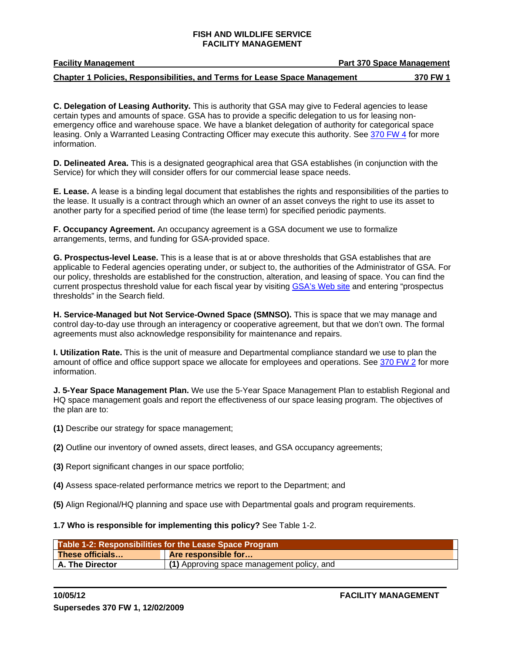**Facility Management** 

#### **Chapter 1 Policies, Responsibilities, and Terms for Lease Space Management 370 FW 1**

**C. Delegation of Leasing Authority.** This is authority that GSA may give to Federal agencies to lease certain types and amounts of space. GSA has to provide a specific delegation to us for leasing nonemergency office and warehouse space. We have a blanket delegation of authority for categorical space leasing. Only a Warranted Leasing Contracting Officer may execute this authority. See 370 FW 4 for more information.

**D. Delineated Area.** This is a designated geographical area that GSA establishes (in conjunction with the Service) for which they will consider offers for our commercial lease space needs.

**E. Lease.** A lease is a binding legal document that establishes the rights and responsibilities of the parties to the lease. It usually is a contract through which an owner of an asset conveys the right to use its asset to another party for a specified period of time (the lease term) for specified periodic payments.

**F. Occupancy Agreement.** An occupancy agreement is a GSA document we use to formalize arrangements, terms, and funding for GSA-provided space.

**G. Prospectus-level Lease.** This is a lease that is at or above thresholds that GSA establishes that are applicable to Federal agencies operating under, or subject to, the authorities of the Administrator of GSA. For our policy, thresholds are established for the construction, alteration, and leasing of space. You can find the current prospectus threshold value for each fiscal year by visiting GSA's Web site and entering "prospectus thresholds" in the Search field.

**H. Service-Managed but Not Service-Owned Space (SMNSO).** This is space that we may manage and control day-to-day use through an interagency or cooperative agreement, but that we don't own. The formal agreements must also acknowledge responsibility for maintenance and repairs.

**I. Utilization Rate.** This is the unit of measure and Departmental compliance standard we use to plan the amount of office and office support space we allocate for employees and operations. See 370 FW 2 for more information.

**J. 5-Year Space Management Plan.** We use the 5-Year Space Management Plan to establish Regional and HQ space management goals and report the effectiveness of our space leasing program. The objectives of the plan are to:

- **(1)** Describe our strategy for space management;
- **(2)** Outline our inventory of owned assets, direct leases, and GSA occupancy agreements;
- **(3)** Report significant changes in our space portfolio;
- **(4)** Assess space-related performance metrics we report to the Department; and
- **(5)** Align Regional/HQ planning and space use with Departmental goals and program requirements.

### **1.7 Who is responsible for implementing this policy?** See Table 1-2.

| Table 1-2: Responsibilities for the Lease Space Program |                                            |
|---------------------------------------------------------|--------------------------------------------|
| These officials                                         | <b>Are responsible for</b>                 |
| A. The Director                                         | (1) Approving space management policy, and |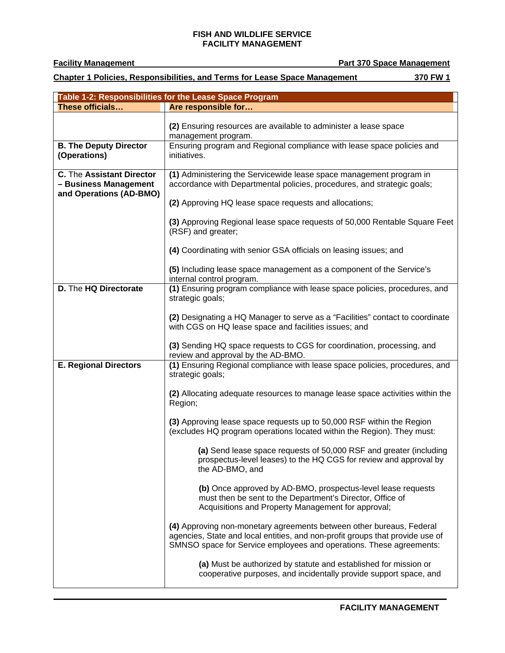$\blacksquare$ 

**Facility Management Part 370 Space Management**

 **Chapter 1 Policies, Responsibilities, and Terms for Lease Space Management 370 FW 1** 

| Table 1-2: Responsibilities for the Lease Space Program |                                                                                                                                                                                                                              |  |
|---------------------------------------------------------|------------------------------------------------------------------------------------------------------------------------------------------------------------------------------------------------------------------------------|--|
| These officials                                         | Are responsible for                                                                                                                                                                                                          |  |
|                                                         | (2) Ensuring resources are available to administer a lease space<br>management program.                                                                                                                                      |  |
| <b>B. The Deputy Director</b><br>(Operations)           | Ensuring program and Regional compliance with lease space policies and<br>initiatives.                                                                                                                                       |  |
| <b>C.</b> The Assistant Director                        | (1) Administering the Servicewide lease space management program in                                                                                                                                                          |  |
| - Business Management<br>and Operations (AD-BMO)        | accordance with Departmental policies, procedures, and strategic goals;                                                                                                                                                      |  |
|                                                         | (2) Approving HQ lease space requests and allocations;                                                                                                                                                                       |  |
|                                                         | (3) Approving Regional lease space requests of 50,000 Rentable Square Feet<br>(RSF) and greater;                                                                                                                             |  |
|                                                         | (4) Coordinating with senior GSA officials on leasing issues; and                                                                                                                                                            |  |
|                                                         | (5) Including lease space management as a component of the Service's<br>internal control program.                                                                                                                            |  |
| D. The HQ Directorate                                   | (1) Ensuring program compliance with lease space policies, procedures, and<br>strategic goals;                                                                                                                               |  |
|                                                         | (2) Designating a HQ Manager to serve as a "Facilities" contact to coordinate<br>with CGS on HQ lease space and facilities issues; and                                                                                       |  |
|                                                         | (3) Sending HQ space requests to CGS for coordination, processing, and<br>review and approval by the AD-BMO.                                                                                                                 |  |
| <b>E. Regional Directors</b>                            | (1) Ensuring Regional compliance with lease space policies, procedures, and<br>strategic goals;                                                                                                                              |  |
|                                                         | (2) Allocating adequate resources to manage lease space activities within the<br>Region;                                                                                                                                     |  |
|                                                         | (3) Approving lease space requests up to 50,000 RSF within the Region<br>(excludes HQ program operations located within the Region). They must:                                                                              |  |
|                                                         | (a) Send lease space requests of 50,000 RSF and greater (including<br>prospectus-level leases) to the HQ CGS for review and approval by<br>the AD-BMO, and                                                                   |  |
|                                                         | (b) Once approved by AD-BMO, prospectus-level lease requests<br>must then be sent to the Department's Director, Office of<br>Acquisitions and Property Management for approval;                                              |  |
|                                                         | (4) Approving non-monetary agreements between other bureaus, Federal<br>agencies, State and local entities, and non-profit groups that provide use of<br>SMNSO space for Service employees and operations. These agreements: |  |
|                                                         | (a) Must be authorized by statute and established for mission or<br>cooperative purposes, and incidentally provide support space, and                                                                                        |  |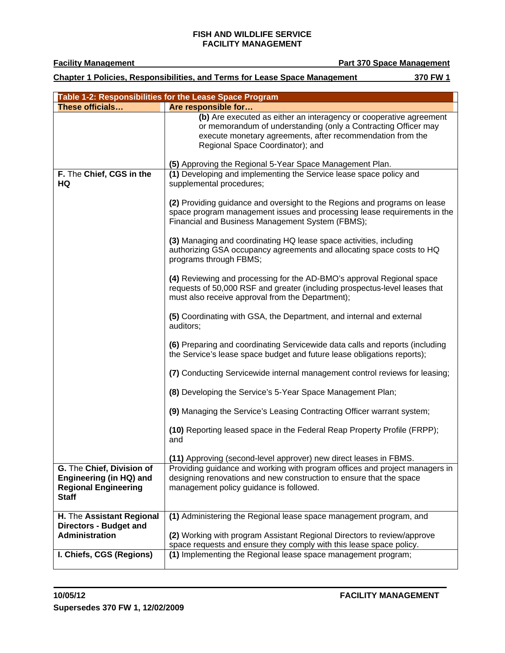**Facility Management** 

**Part 370 Space Management** 

 **Chapter 1 Policies, Responsibilities, and Terms for Lease Space Management 370 FW 1** 

| Table 1-2: Responsibilities for the Lease Space Program |                                                                                                                                                                                                                                        |  |
|---------------------------------------------------------|----------------------------------------------------------------------------------------------------------------------------------------------------------------------------------------------------------------------------------------|--|
| These officials                                         | Are responsible for                                                                                                                                                                                                                    |  |
|                                                         | (b) Are executed as either an interagency or cooperative agreement<br>or memorandum of understanding (only a Contracting Officer may<br>execute monetary agreements, after recommendation from the<br>Regional Space Coordinator); and |  |
|                                                         | (5) Approving the Regional 5-Year Space Management Plan.                                                                                                                                                                               |  |
| F. The Chief, CGS in the<br>HQ                          | (1) Developing and implementing the Service lease space policy and<br>supplemental procedures;                                                                                                                                         |  |
|                                                         | (2) Providing guidance and oversight to the Regions and programs on lease<br>space program management issues and processing lease requirements in the<br>Financial and Business Management System (FBMS);                              |  |
|                                                         | (3) Managing and coordinating HQ lease space activities, including<br>authorizing GSA occupancy agreements and allocating space costs to HQ<br>programs through FBMS;                                                                  |  |
|                                                         | (4) Reviewing and processing for the AD-BMO's approval Regional space<br>requests of 50,000 RSF and greater (including prospectus-level leases that<br>must also receive approval from the Department);                                |  |
|                                                         | (5) Coordinating with GSA, the Department, and internal and external<br>auditors;                                                                                                                                                      |  |
|                                                         | (6) Preparing and coordinating Servicewide data calls and reports (including<br>the Service's lease space budget and future lease obligations reports);                                                                                |  |
|                                                         | (7) Conducting Servicewide internal management control reviews for leasing;                                                                                                                                                            |  |
|                                                         | (8) Developing the Service's 5-Year Space Management Plan;                                                                                                                                                                             |  |
|                                                         | (9) Managing the Service's Leasing Contracting Officer warrant system;                                                                                                                                                                 |  |
|                                                         | (10) Reporting leased space in the Federal Reap Property Profile (FRPP);<br>and                                                                                                                                                        |  |
|                                                         | (11) Approving (second-level approver) new direct leases in FBMS.                                                                                                                                                                      |  |
| G. The Chief, Division of                               | Providing guidance and working with program offices and project managers in                                                                                                                                                            |  |
| Engineering (in HQ) and                                 | designing renovations and new construction to ensure that the space                                                                                                                                                                    |  |
| <b>Regional Engineering</b><br><b>Staff</b>             | management policy guidance is followed.                                                                                                                                                                                                |  |
| H. The Assistant Regional                               | (1) Administering the Regional lease space management program, and                                                                                                                                                                     |  |
| <b>Directors - Budget and</b>                           |                                                                                                                                                                                                                                        |  |
| Administration                                          | (2) Working with program Assistant Regional Directors to review/approve                                                                                                                                                                |  |
| I. Chiefs, CGS (Regions)                                | space requests and ensure they comply with this lease space policy.<br>(1) Implementing the Regional lease space management program;                                                                                                   |  |
|                                                         |                                                                                                                                                                                                                                        |  |

**FACILITY MANAGEMENT**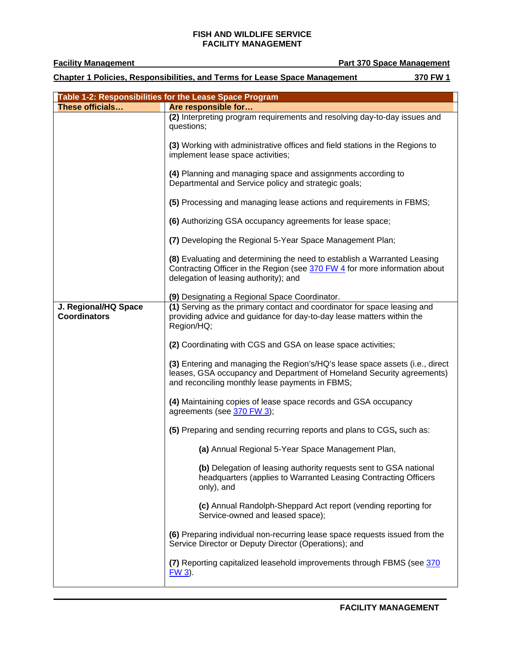**Part 370 Space Management** 

 **Chapter 1 Policies, Responsibilities, and Terms for Lease Space Management 370 FW 1** 

|                                             | Table 1-2: Responsibilities for the Lease Space Program                                                                                                                                                  |
|---------------------------------------------|----------------------------------------------------------------------------------------------------------------------------------------------------------------------------------------------------------|
| These officials                             | Are responsible for                                                                                                                                                                                      |
|                                             | (2) Interpreting program requirements and resolving day-to-day issues and<br>questions;                                                                                                                  |
|                                             | (3) Working with administrative offices and field stations in the Regions to<br>implement lease space activities;                                                                                        |
|                                             | (4) Planning and managing space and assignments according to<br>Departmental and Service policy and strategic goals;                                                                                     |
|                                             | (5) Processing and managing lease actions and requirements in FBMS;                                                                                                                                      |
|                                             | (6) Authorizing GSA occupancy agreements for lease space;                                                                                                                                                |
|                                             | (7) Developing the Regional 5-Year Space Management Plan;                                                                                                                                                |
|                                             | (8) Evaluating and determining the need to establish a Warranted Leasing<br>Contracting Officer in the Region (see 370 FW 4 for more information about<br>delegation of leasing authority); and          |
|                                             | (9) Designating a Regional Space Coordinator.                                                                                                                                                            |
| J. Regional/HQ Space<br><b>Coordinators</b> | (1) Serving as the primary contact and coordinator for space leasing and<br>providing advice and guidance for day-to-day lease matters within the<br>Region/HQ;                                          |
|                                             | (2) Coordinating with CGS and GSA on lease space activities;                                                                                                                                             |
|                                             | (3) Entering and managing the Region's/HQ's lease space assets (i.e., direct<br>leases, GSA occupancy and Department of Homeland Security agreements)<br>and reconciling monthly lease payments in FBMS; |
|                                             | (4) Maintaining copies of lease space records and GSA occupancy<br>agreements (see 370 FW 3);                                                                                                            |
|                                             | (5) Preparing and sending recurring reports and plans to CGS, such as:                                                                                                                                   |
|                                             | (a) Annual Regional 5-Year Space Management Plan,                                                                                                                                                        |
|                                             | (b) Delegation of leasing authority requests sent to GSA national<br>headquarters (applies to Warranted Leasing Contracting Officers<br>only), and                                                       |
|                                             | (c) Annual Randolph-Sheppard Act report (vending reporting for<br>Service-owned and leased space);                                                                                                       |
|                                             | (6) Preparing individual non-recurring lease space requests issued from the<br>Service Director or Deputy Director (Operations); and                                                                     |
|                                             | (7) Reporting capitalized leasehold improvements through FBMS (see 370<br>$FW3$ ).                                                                                                                       |